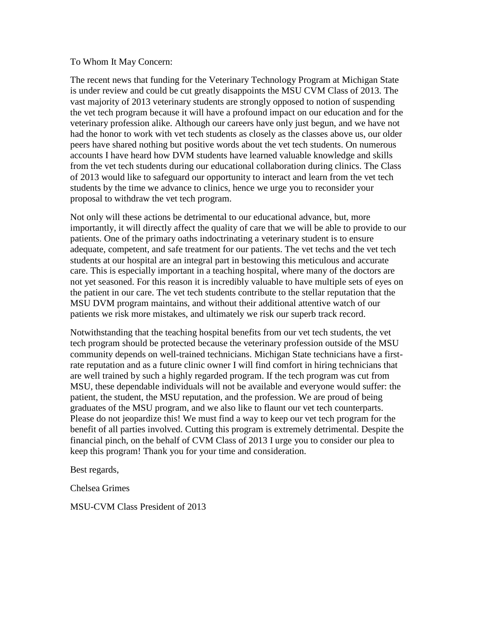## To Whom It May Concern:

The recent news that funding for the Veterinary Technology Program at Michigan State is under review and could be cut greatly disappoints the MSU CVM Class of 2013. The vast majority of 2013 veterinary students are strongly opposed to notion of suspending the vet tech program because it will have a profound impact on our education and for the veterinary profession alike. Although our careers have only just begun, and we have not had the honor to work with vet tech students as closely as the classes above us, our older peers have shared nothing but positive words about the vet tech students. On numerous accounts I have heard how DVM students have learned valuable knowledge and skills from the vet tech students during our educational collaboration during clinics. The Class of 2013 would like to safeguard our opportunity to interact and learn from the vet tech students by the time we advance to clinics, hence we urge you to reconsider your proposal to withdraw the vet tech program.

Not only will these actions be detrimental to our educational advance, but, more importantly, it will directly affect the quality of care that we will be able to provide to our patients. One of the primary oaths indoctrinating a veterinary student is to ensure adequate, competent, and safe treatment for our patients. The vet techs and the vet tech students at our hospital are an integral part in bestowing this meticulous and accurate care. This is especially important in a teaching hospital, where many of the doctors are not yet seasoned. For this reason it is incredibly valuable to have multiple sets of eyes on the patient in our care. The vet tech students contribute to the stellar reputation that the MSU DVM program maintains, and without their additional attentive watch of our patients we risk more mistakes, and ultimately we risk our superb track record.

Notwithstanding that the teaching hospital benefits from our vet tech students, the vet tech program should be protected because the veterinary profession outside of the MSU community depends on well-trained technicians. Michigan State technicians have a firstrate reputation and as a future clinic owner I will find comfort in hiring technicians that are well trained by such a highly regarded program. If the tech program was cut from MSU, these dependable individuals will not be available and everyone would suffer: the patient, the student, the MSU reputation, and the profession. We are proud of being graduates of the MSU program, and we also like to flaunt our vet tech counterparts. Please do not jeopardize this! We must find a way to keep our vet tech program for the benefit of all parties involved. Cutting this program is extremely detrimental. Despite the financial pinch, on the behalf of CVM Class of 2013 I urge you to consider our plea to keep this program! Thank you for your time and consideration.

Best regards,

Chelsea Grimes

MSU-CVM Class President of 2013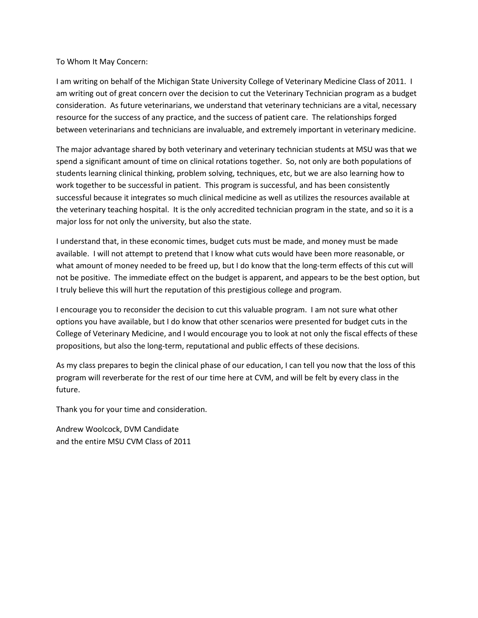To Whom It May Concern:

I am writing on behalf of the Michigan State University College of Veterinary Medicine Class of 2011. I am writing out of great concern over the decision to cut the Veterinary Technician program as a budget consideration. As future veterinarians, we understand that veterinary technicians are a vital, necessary resource for the success of any practice, and the success of patient care. The relationships forged between veterinarians and technicians are invaluable, and extremely important in veterinary medicine.

The major advantage shared by both veterinary and veterinary technician students at MSU was that we spend a significant amount of time on clinical rotations together. So, not only are both populations of students learning clinical thinking, problem solving, techniques, etc, but we are also learning how to work together to be successful in patient. This program is successful, and has been consistently successful because it integrates so much clinical medicine as well as utilizes the resources available at the veterinary teaching hospital. It is the only accredited technician program in the state, and so it is a major loss for not only the university, but also the state.

I understand that, in these economic times, budget cuts must be made, and money must be made available. I will not attempt to pretend that I know what cuts would have been more reasonable, or what amount of money needed to be freed up, but I do know that the long-term effects of this cut will not be positive. The immediate effect on the budget is apparent, and appears to be the best option, but I truly believe this will hurt the reputation of this prestigious college and program.

I encourage you to reconsider the decision to cut this valuable program. I am not sure what other options you have available, but I do know that other scenarios were presented for budget cuts in the College of Veterinary Medicine, and I would encourage you to look at not only the fiscal effects of these propositions, but also the long-term, reputational and public effects of these decisions.

As my class prepares to begin the clinical phase of our education, I can tell you now that the loss of this program will reverberate for the rest of our time here at CVM, and will be felt by every class in the future.

Thank you for your time and consideration.

Andrew Woolcock, DVM Candidate and the entire MSU CVM Class of 2011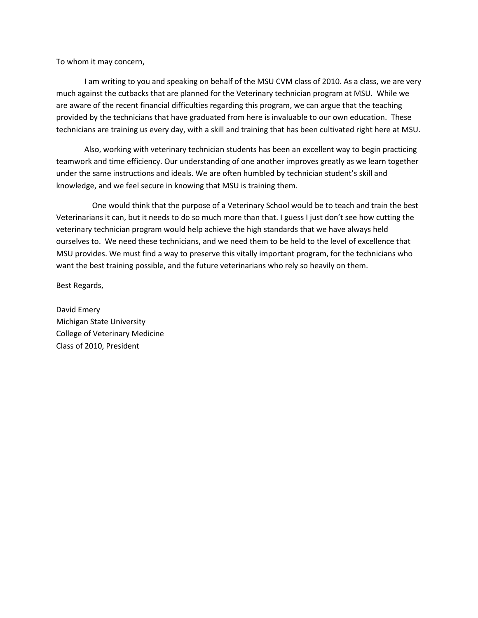To whom it may concern,

 I am writing to you and speaking on behalf of the MSU CVM class of 2010. As a class, we are very much against the cutbacks that are planned for the Veterinary technician program at MSU. While we are aware of the recent financial difficulties regarding this program, we can argue that the teaching provided by the technicians that have graduated from here is invaluable to our own education. These technicians are training us every day, with a skill and training that has been cultivated right here at MSU.

Also, working with veterinary technician students has been an excellent way to begin practicing teamwork and time efficiency. Our understanding of one another improves greatly as we learn together under the same instructions and ideals. We are often humbled by technician student's skill and knowledge, and we feel secure in knowing that MSU is training them.

 One would think that the purpose of a Veterinary School would be to teach and train the best Veterinarians it can, but it needs to do so much more than that. I guess I just don't see how cutting the veterinary technician program would help achieve the high standards that we have always held ourselves to. We need these technicians, and we need them to be held to the level of excellence that MSU provides. We must find a way to preserve this vitally important program, for the technicians who want the best training possible, and the future veterinarians who rely so heavily on them.

Best Regards,

David Emery Michigan State University College of Veterinary Medicine Class of 2010, President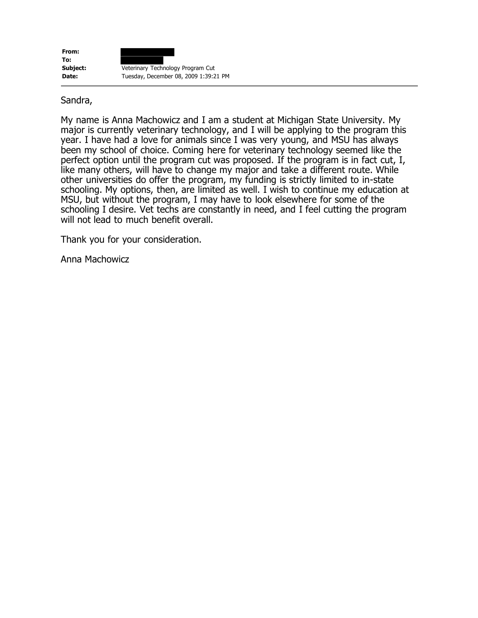| From:    |                                       |
|----------|---------------------------------------|
| To:      |                                       |
| Subject: | Veterinary Technology Program Cut     |
| Date:    | Tuesday, December 08, 2009 1:39:21 PM |

## Sandra,

My name is Anna Machowicz and I am a student at Michigan State University. My major is currently veterinary technology, and I will be applying to the program this year. I have had a love for animals since I was very young, and MSU has always been my school of choice. Coming here for veterinary technology seemed like the perfect option until the program cut was proposed. If the program is in fact cut, I, like many others, will have to change my major and take a different route. While other universities do offer the program, my funding is strictly limited to in-state schooling. My options, then, are limited as well. I wish to continue my education at MSU, but without the program, I may have to look elsewhere for some of the schooling I desire. Vet techs are constantly in need, and I feel cutting the program will not lead to much benefit overall.

Thank you for your consideration.

Anna Machowicz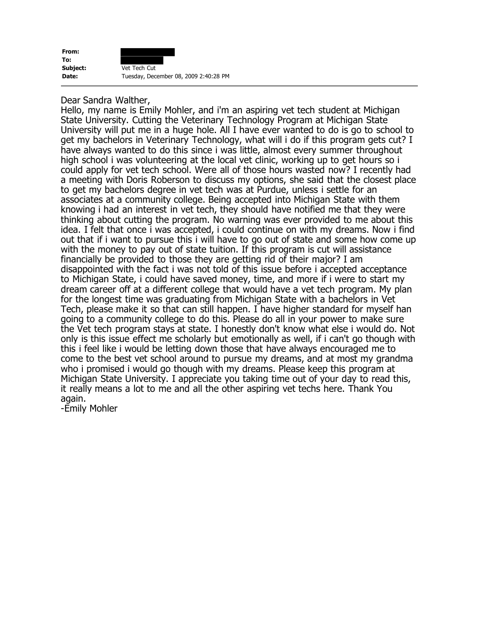

## Dear Sandra Walther,

Hello, my name is Emily Mohler, and i'm an aspiring vet tech student at Michigan State University. Cutting the Veterinary Technology Program at Michigan State University will put me in a huge hole. All I have ever wanted to do is go to school to get my bachelors in Veterinary Technology, what will i do if this program gets cut? I have always wanted to do this since i was little, almost every summer throughout high school i was volunteering at the local vet clinic, working up to get hours so i could apply for vet tech school. Were all of those hours wasted now? I recently had a meeting with Doris Roberson to discuss my options, she said that the closest place to get my bachelors degree in vet tech was at Purdue, unless i settle for an associates at a community college. Being accepted into Michigan State with them knowing i had an interest in vet tech, they should have notified me that they were thinking about cutting the program. No warning was ever provided to me about this idea. I felt that once i was accepted, i could continue on with my dreams. Now i find out that if i want to pursue this i will have to go out of state and some how come up with the money to pay out of state tuition. If this program is cut will assistance financially be provided to those they are getting rid of their major? I am disappointed with the fact i was not told of this issue before i accepted acceptance to Michigan State, i could have saved money, time, and more if i were to start my dream career off at a different college that would have a vet tech program. My plan for the longest time was graduating from Michigan State with a bachelors in Vet Tech, please make it so that can still happen. I have higher standard for myself han going to a community college to do this. Please do all in your power to make sure the Vet tech program stays at state. I honestly don't know what else i would do. Not only is this issue effect me scholarly but emotionally as well, if i can't go though with this i feel like i would be letting down those that have always encouraged me to come to the best vet school around to pursue my dreams, and at most my grandma who i promised i would go though with my dreams. Please keep this program at Michigan State University. I appreciate you taking time out of your day to read this, it really means a lot to me and all the other aspiring vet techs here. Thank You again.

-Emily Mohler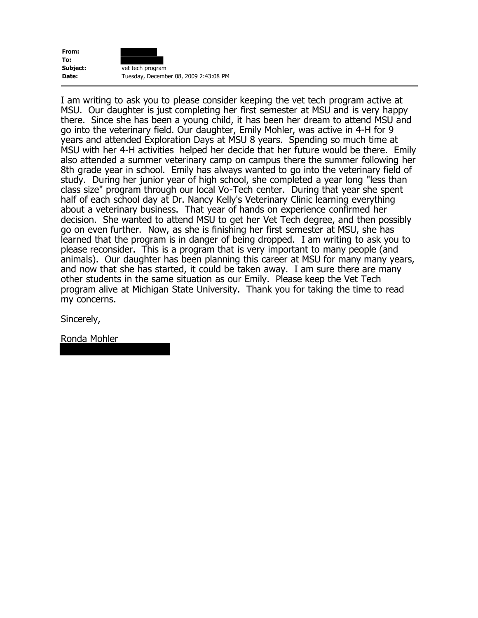

I am writing to ask you to please consider keeping the vet tech program active at MSU. Our daughter is just completing her first semester at MSU and is very happy there. Since she has been a young child, it has been her dream to attend MSU and go into the veterinary field. Our daughter, Emily Mohler, was active in 4-H for 9 years and attended Exploration Days at MSU 8 years. Spending so much time at MSU with her 4-H activities helped her decide that her future would be there. Emily also attended a summer veterinary camp on campus there the summer following her 8th grade year in school. Emily has always wanted to go into the veterinary field of study. During her junior year of high school, she completed a year long "less than class size" program through our local Vo-Tech center. During that year she spent half of each school day at Dr. Nancy Kelly's Veterinary Clinic learning everything about a veterinary business. That year of hands on experience confirmed her decision. She wanted to attend MSU to get her Vet Tech degree, and then possibly go on even further. Now, as she is finishing her first semester at MSU, she has learned that the program is in danger of being dropped. I am writing to ask you to please reconsider. This is a program that is very important to many people (and animals). Our daughter has been planning this career at MSU for many many years, and now that she has started, it could be taken away. I am sure there are many other students in the same situation as our Emily. Please keep the Vet Tech program alive at Michigan State University. Thank you for taking the time to read my concerns.

Sincerely,

Ronda Mohler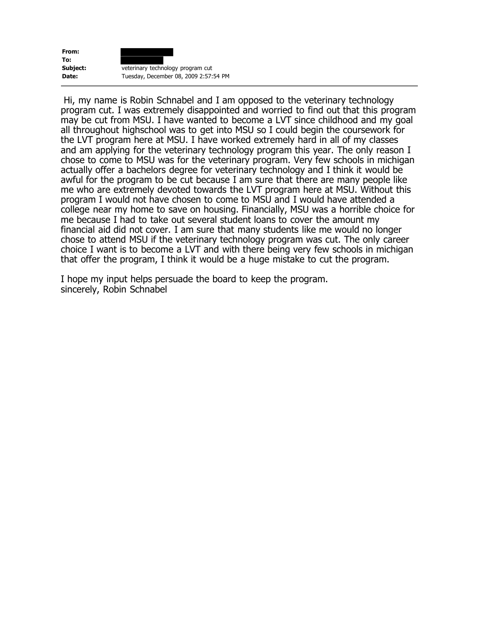

Hi, my name is Robin Schnabel and I am opposed to the veterinary technology program cut. I was extremely disappointed and worried to find out that this program may be cut from MSU. I have wanted to become a LVT since childhood and my goal all throughout highschool was to get into MSU so I could begin the coursework for the LVT program here at MSU. I have worked extremely hard in all of my classes and am applying for the veterinary technology program this year. The only reason I chose to come to MSU was for the veterinary program. Very few schools in michigan actually offer a bachelors degree for veterinary technology and I think it would be awful for the program to be cut because I am sure that there are many people like me who are extremely devoted towards the LVT program here at MSU. Without this program I would not have chosen to come to MSU and I would have attended a college near my home to save on housing. Financially, MSU was a horrible choice for me because I had to take out several student loans to cover the amount my financial aid did not cover. I am sure that many students like me would no longer chose to attend MSU if the veterinary technology program was cut. The only career choice I want is to become a LVT and with there being very few schools in michigan that offer the program, I think it would be a huge mistake to cut the program.

I hope my input helps persuade the board to keep the program. sincerely, Robin Schnabel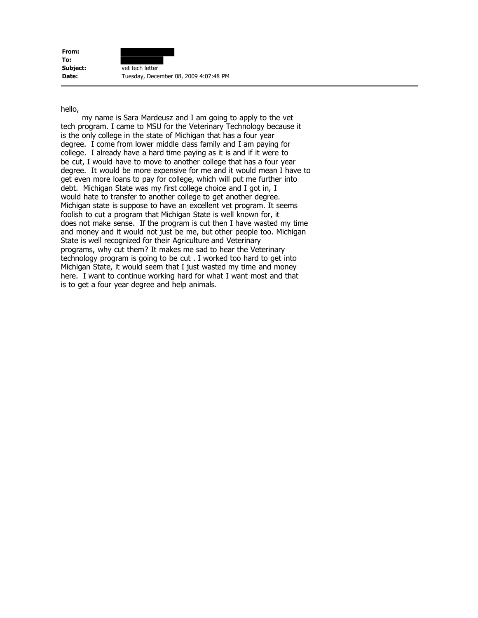**From: To: Subject:** vet tech letter **Date:** Tuesday, December 08, 2009 4:07:48 PM

#### hello,

 my name is Sara Mardeusz and I am going to apply to the vet tech program. I came to MSU for the Veterinary Technology because it is the only college in the state of Michigan that has a four year degree. I come from lower middle class family and I am paying for college. I already have a hard time paying as it is and if it were to be cut, I would have to move to another college that has a four year degree. It would be more expensive for me and it would mean I have to get even more loans to pay for college, which will put me further into debt. Michigan State was my first college choice and I got in, I would hate to transfer to another college to get another degree. Michigan state is suppose to have an excellent vet program. It seems foolish to cut a program that Michigan State is well known for, it does not make sense. If the program is cut then I have wasted my time and money and it would not just be me, but other people too. Michigan State is well recognized for their Agriculture and Veterinary programs, why cut them? It makes me sad to hear the Veterinary technology program is going to be cut . I worked too hard to get into Michigan State, it would seem that I just wasted my time and money here. I want to continue working hard for what I want most and that is to get a four year degree and help animals.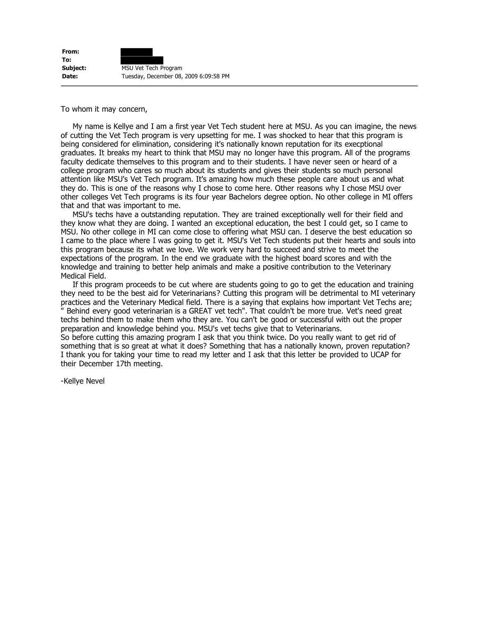**From: To: Subject:** MSU Vet Tech Program **Date:** Tuesday, December 08, 2009 6:09:58 PM

To whom it may concern,

 My name is Kellye and I am a first year Vet Tech student here at MSU. As you can imagine, the news of cutting the Vet Tech program is very upsetting for me. I was shocked to hear that this program is being considered for elimination, considering it's nationally known reputation for its execptional graduates. It breaks my heart to think that MSU may no longer have this program. All of the programs faculty dedicate themselves to this program and to their students. I have never seen or heard of a college program who cares so much about its students and gives their students so much personal attention like MSU's Vet Tech program. It's amazing how much these people care about us and what they do. This is one of the reasons why I chose to come here. Other reasons why I chose MSU over other colleges Vet Tech programs is its four year Bachelors degree option. No other college in MI offers that and that was important to me.

 MSU's techs have a outstanding reputation. They are trained exceptionally well for their field and they know what they are doing. I wanted an exceptional education, the best I could get, so I came to MSU. No other college in MI can come close to offering what MSU can. I deserve the best education so I came to the place where I was going to get it. MSU's Vet Tech students put their hearts and souls into this program because its what we love. We work very hard to succeed and strive to meet the expectations of the program. In the end we graduate with the highest board scores and with the knowledge and training to better help animals and make a positive contribution to the Veterinary Medical Field.

 If this program proceeds to be cut where are students going to go to get the education and training they need to be the best aid for Veterinarians? Cutting this program will be detrimental to MI veterinary practices and the Veterinary Medical field. There is a saying that explains how important Vet Techs are; Behind every good veterinarian is a GREAT vet tech". That couldn't be more true. Vet's need great techs behind them to make them who they are. You can't be good or successful with out the proper preparation and knowledge behind you. MSU's vet techs give that to Veterinarians.

So before cutting this amazing program I ask that you think twice. Do you really want to get rid of something that is so great at what it does? Something that has a nationally known, proven reputation? I thank you for taking your time to read my letter and I ask that this letter be provided to UCAP for their December 17th meeting.

-Kellye Nevel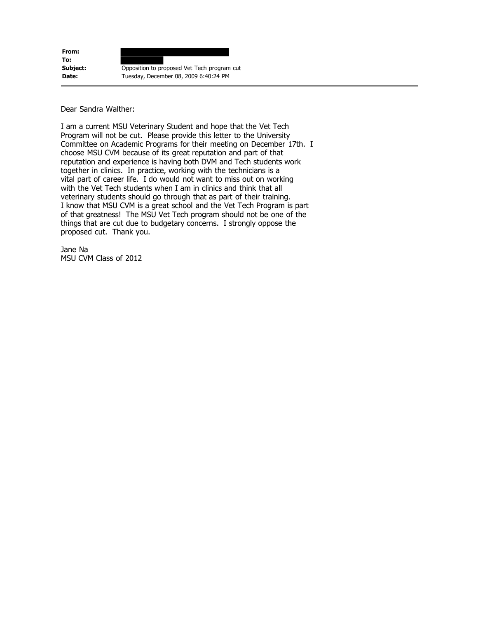**From: To: Subject:** Opposition to proposed Vet Tech program cut **Date:** Tuesday, December 08, 2009 6:40:24 PM

Dear Sandra Walther:

I am a current MSU Veterinary Student and hope that the Vet Tech Program will not be cut. Please provide this letter to the University Committee on Academic Programs for their meeting on December 17th. I choose MSU CVM because of its great reputation and part of that reputation and experience is having both DVM and Tech students work together in clinics. In practice, working with the technicians is a vital part of career life. I do would not want to miss out on working with the Vet Tech students when I am in clinics and think that all veterinary students should go through that as part of their training. I know that MSU CVM is a great school and the Vet Tech Program is part of that greatness! The MSU Vet Tech program should not be one of the things that are cut due to budgetary concerns. I strongly oppose the proposed cut. Thank you.

Jane Na MSU CVM Class of 2012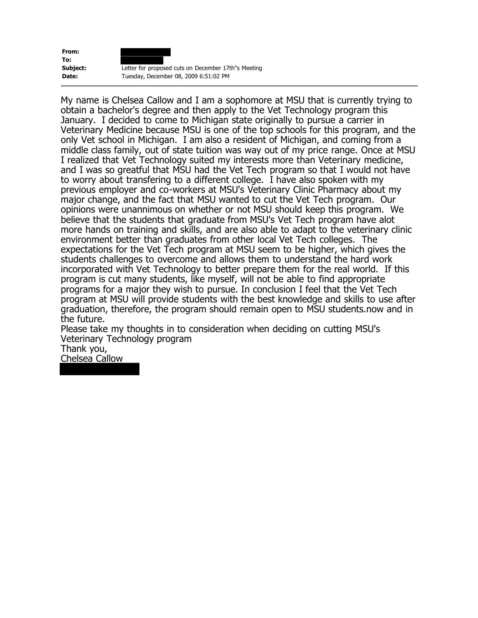**From: To:**



**Subject:** Letter for proposed cuts on December 17th"s Meeting **Date:** Tuesday, December 08, 2009 6:51:02 PM

My name is Chelsea Callow and I am a sophomore at MSU that is currently trying to obtain a bachelor's degree and then apply to the Vet Technology program this January. I decided to come to Michigan state originally to pursue a carrier in Veterinary Medicine because MSU is one of the top schools for this program, and the only Vet school in Michigan. I am also a resident of Michigan, and coming from a middle class family, out of state tuition was way out of my price range. Once at MSU I realized that Vet Technology suited my interests more than Veterinary medicine, and I was so greatful that MSU had the Vet Tech program so that I would not have to worry about transfering to a different college. I have also spoken with my previous employer and co-workers at MSU's Veterinary Clinic Pharmacy about my major change, and the fact that MSU wanted to cut the Vet Tech program. Our opinions were unannimous on whether or not MSU should keep this program. We believe that the students that graduate from MSU's Vet Tech program have alot more hands on training and skills, and are also able to adapt to the veterinary clinic environment better than graduates from other local Vet Tech colleges. The expectations for the Vet Tech program at MSU seem to be higher, which gives the students challenges to overcome and allows them to understand the hard work incorporated with Vet Technology to better prepare them for the real world. If this program is cut many students, like myself, will not be able to find appropriate programs for a major they wish to pursue. In conclusion I feel that the Vet Tech program at MSU will provide students with the best knowledge and skills to use after graduation, therefore, the program should remain open to MSU students.now and in the future.

Please take my thoughts in to consideration when deciding on cutting MSU's Veterinary Technology program

Thank you,

Chelsea Callow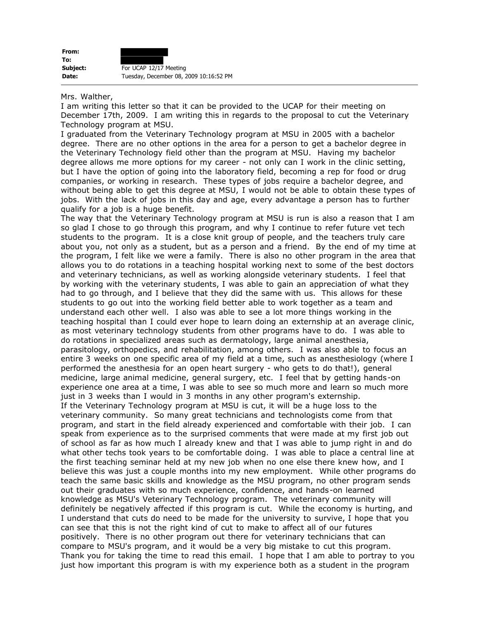| From:    |                                        |
|----------|----------------------------------------|
| To:      |                                        |
| Subject: | For UCAP 12/17 Meeting                 |
| Date:    | Tuesday, December 08, 2009 10:16:52 PM |

#### Mrs. Walther,

I am writing this letter so that it can be provided to the UCAP for their meeting on December 17th, 2009. I am writing this in regards to the proposal to cut the Veterinary Technology program at MSU.

I graduated from the Veterinary Technology program at MSU in 2005 with a bachelor degree. There are no other options in the area for a person to get a bachelor degree in the Veterinary Technology field other than the program at MSU. Having my bachelor degree allows me more options for my career - not only can I work in the clinic setting, but I have the option of going into the laboratory field, becoming a rep for food or drug companies, or working in research. These types of jobs require a bachelor degree, and without being able to get this degree at MSU, I would not be able to obtain these types of jobs. With the lack of jobs in this day and age, every advantage a person has to further qualify for a job is a huge benefit.

The way that the Veterinary Technology program at MSU is run is also a reason that I am so glad I chose to go through this program, and why I continue to refer future vet tech students to the program. It is a close knit group of people, and the teachers truly care about you, not only as a student, but as a person and a friend. By the end of my time at the program, I felt like we were a family. There is also no other program in the area that allows you to do rotations in a teaching hospital working next to some of the best doctors and veterinary technicians, as well as working alongside veterinary students. I feel that by working with the veterinary students, I was able to gain an appreciation of what they had to go through, and I believe that they did the same with us. This allows for these students to go out into the working field better able to work together as a team and understand each other well. I also was able to see a lot more things working in the teaching hospital than I could ever hope to learn doing an externship at an average clinic, as most veterinary technology students from other programs have to do. I was able to do rotations in specialized areas such as dermatology, large animal anesthesia, parasitology, orthopedics, and rehabilitation, among others. I was also able to focus an entire 3 weeks on one specific area of my field at a time, such as anesthesiology (where I performed the anesthesia for an open heart surgery - who gets to do that!), general medicine, large animal medicine, general surgery, etc. I feel that by getting hands-on experience one area at a time, I was able to see so much more and learn so much more just in 3 weeks than I would in 3 months in any other program's externship. If the Veterinary Technology program at MSU is cut, it will be a huge loss to the veterinary community. So many great technicians and technologists come from that program, and start in the field already experienced and comfortable with their job. I can speak from experience as to the surprised comments that were made at my first job out of school as far as how much I already knew and that I was able to jump right in and do what other techs took years to be comfortable doing. I was able to place a central line at the first teaching seminar held at my new job when no one else there knew how, and I believe this was just a couple months into my new employment. While other programs do teach the same basic skills and knowledge as the MSU program, no other program sends out their graduates with so much experience, confidence, and hands-on learned knowledge as MSU's Veterinary Technology program. The veterinary community will definitely be negatively affected if this program is cut. While the economy is hurting, and I understand that cuts do need to be made for the university to survive, I hope that you can see that this is not the right kind of cut to make to affect all of our futures positively. There is no other program out there for veterinary technicians that can compare to MSU's program, and it would be a very big mistake to cut this program. Thank you for taking the time to read this email. I hope that I am able to portray to you just how important this program is with my experience both as a student in the program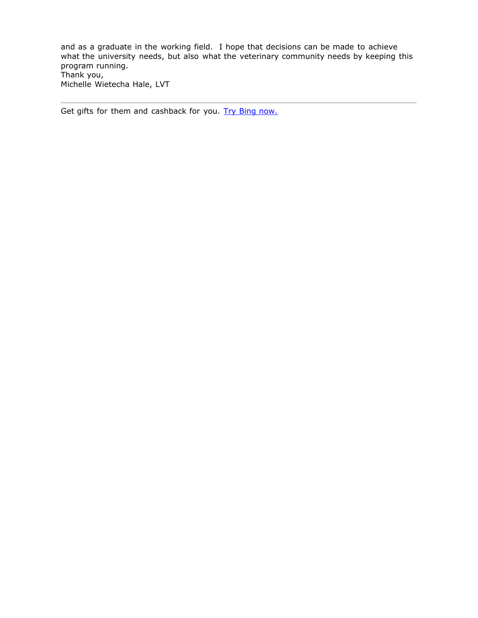and as a graduate in the working field. I hope that decisions can be made to achieve what the university needs, but also what the veterinary community needs by keeping this program running. Thank you, Michelle Wietecha Hale, LVT

Get gifts for them and cashback for you. [Try Bing now.](http://www.bing.com/shopping/search?q=xbox+games&scope=cashback&form=MSHYCB&publ=WLHMTAG&crea=TEXT_MSHYCB_Shopping_Giftsforthem_cashback_1x1)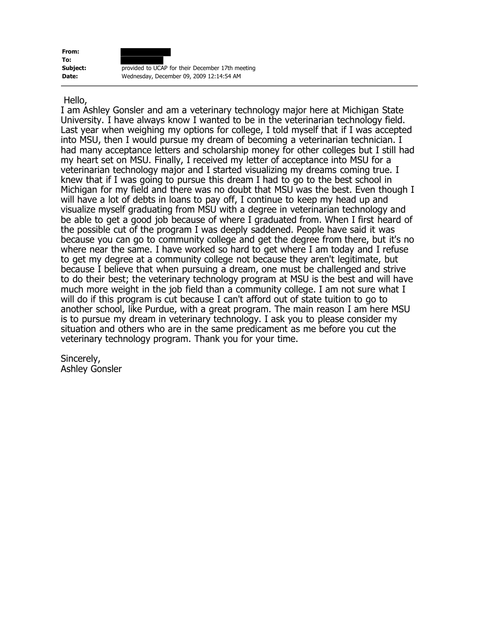**From: To:**



## Hello,

I am Ashley Gonsler and am a veterinary technology major here at Michigan State University. I have always know I wanted to be in the veterinarian technology field. Last year when weighing my options for college, I told myself that if I was accepted into MSU, then I would pursue my dream of becoming a veterinarian technician. I had many acceptance letters and scholarship money for other colleges but I still had my heart set on MSU. Finally, I received my letter of acceptance into MSU for a veterinarian technology major and I started visualizing my dreams coming true. I knew that if I was going to pursue this dream I had to go to the best school in Michigan for my field and there was no doubt that MSU was the best. Even though I will have a lot of debts in loans to pay off, I continue to keep my head up and visualize myself graduating from MSU with a degree in veterinarian technology and be able to get a good job because of where I graduated from. When I first heard of the possible cut of the program I was deeply saddened. People have said it was because you can go to community college and get the degree from there, but it's no where near the same. I have worked so hard to get where I am today and I refuse to get my degree at a community college not because they aren't legitimate, but because I believe that when pursuing a dream, one must be challenged and strive to do their best; the veterinary technology program at MSU is the best and will have much more weight in the job field than a community college. I am not sure what I will do if this program is cut because I can't afford out of state tuition to go to another school, like Purdue, with a great program. The main reason I am here MSU is to pursue my dream in veterinary technology. I ask you to please consider my situation and others who are in the same predicament as me before you cut the veterinary technology program. Thank you for your time.

Sincerely, Ashley Gonsler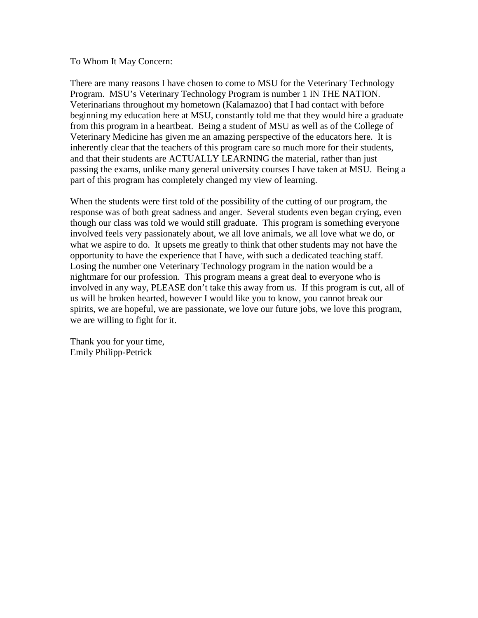### To Whom It May Concern:

There are many reasons I have chosen to come to MSU for the Veterinary Technology Program. MSU's Veterinary Technology Program is number 1 IN THE NATION. Veterinarians throughout my hometown (Kalamazoo) that I had contact with before beginning my education here at MSU, constantly told me that they would hire a graduate from this program in a heartbeat. Being a student of MSU as well as of the College of Veterinary Medicine has given me an amazing perspective of the educators here. It is inherently clear that the teachers of this program care so much more for their students, and that their students are ACTUALLY LEARNING the material, rather than just passing the exams, unlike many general university courses I have taken at MSU. Being a part of this program has completely changed my view of learning.

When the students were first told of the possibility of the cutting of our program, the response was of both great sadness and anger. Several students even began crying, even though our class was told we would still graduate. This program is something everyone involved feels very passionately about, we all love animals, we all love what we do, or what we aspire to do. It upsets me greatly to think that other students may not have the opportunity to have the experience that I have, with such a dedicated teaching staff. Losing the number one Veterinary Technology program in the nation would be a nightmare for our profession. This program means a great deal to everyone who is involved in any way, PLEASE don't take this away from us. If this program is cut, all of us will be broken hearted, however I would like you to know, you cannot break our spirits, we are hopeful, we are passionate, we love our future jobs, we love this program, we are willing to fight for it.

Thank you for your time, Emily Philipp-Petrick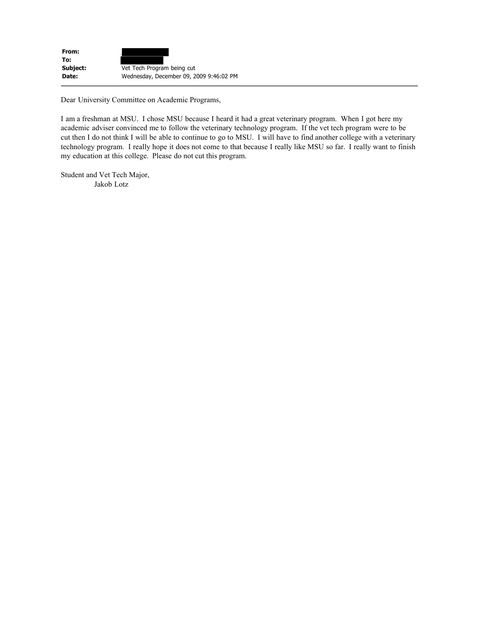| From:    |                                         |
|----------|-----------------------------------------|
| To:      |                                         |
| Subject: | Vet Tech Program being cut              |
| Date:    | Wednesday, December 09, 2009 9:46:02 PM |

Dear University Committee on Academic Programs,

I am a freshman at MSU. I chose MSU because I heard it had a great veterinary program. When I got here my academic adviser convinced me to follow the veterinary technology program. If the vet tech program were to be cut then I do not think I will be able to continue to go to MSU. I will have to find another college with a veterinary technology program. I really hope it does not come to that because I really like MSU so far. I really want to finish my education at this college. Please do not cut this program.

Student and Vet Tech Major, Jakob Lotz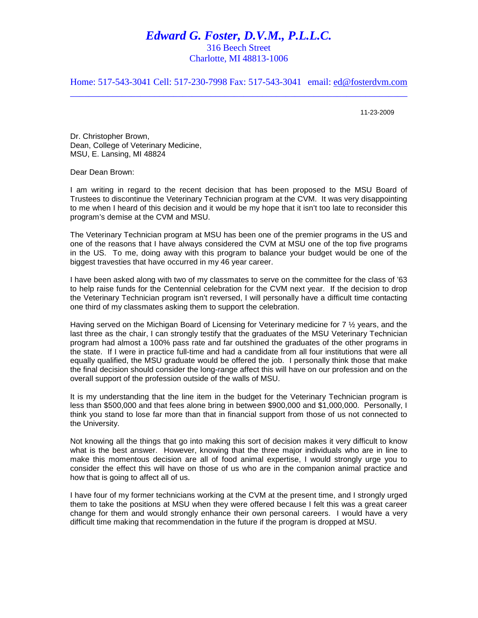## *Edward G. Foster, D.V.M., P.L.L.C.*

316 Beech Street Charlotte, MI 48813-1006

Home: 517-543-3041 Cell: 517-230-7998 Fax: 517-543-3041 email: [ed@fosterdvm.com](mailto:egfoster@cablespeed.com)  $\_$  , and the set of the set of the set of the set of the set of the set of the set of the set of the set of the set of the set of the set of the set of the set of the set of the set of the set of the set of the set of th

11-23-2009

Dr. Christopher Brown, Dean, College of Veterinary Medicine, MSU, E. Lansing, MI 48824

Dear Dean Brown:

I am writing in regard to the recent decision that has been proposed to the MSU Board of Trustees to discontinue the Veterinary Technician program at the CVM. It was very disappointing to me when I heard of this decision and it would be my hope that it isn't too late to reconsider this program's demise at the CVM and MSU.

The Veterinary Technician program at MSU has been one of the premier programs in the US and one of the reasons that I have always considered the CVM at MSU one of the top five programs in the US. To me, doing away with this program to balance your budget would be one of the biggest travesties that have occurred in my 46 year career.

I have been asked along with two of my classmates to serve on the committee for the class of '63 to help raise funds for the Centennial celebration for the CVM next year. If the decision to drop the Veterinary Technician program isn't reversed, I will personally have a difficult time contacting one third of my classmates asking them to support the celebration.

Having served on the Michigan Board of Licensing for Veterinary medicine for 7  $\frac{1}{2}$  years, and the last three as the chair, I can strongly testify that the graduates of the MSU Veterinary Technician program had almost a 100% pass rate and far outshined the graduates of the other programs in the state. If I were in practice full-time and had a candidate from all four institutions that were all equally qualified, the MSU graduate would be offered the job. I personally think those that make the final decision should consider the long-range affect this will have on our profession and on the overall support of the profession outside of the walls of MSU.

It is my understanding that the line item in the budget for the Veterinary Technician program is less than \$500,000 and that fees alone bring in between \$900,000 and \$1,000,000. Personally, I think you stand to lose far more than that in financial support from those of us not connected to the University.

Not knowing all the things that go into making this sort of decision makes it very difficult to know what is the best answer. However, knowing that the three major individuals who are in line to make this momentous decision are all of food animal expertise, I would strongly urge you to consider the effect this will have on those of us who are in the companion animal practice and how that is going to affect all of us.

I have four of my former technicians working at the CVM at the present time, and I strongly urged them to take the positions at MSU when they were offered because I felt this was a great career change for them and would strongly enhance their own personal careers. I would have a very difficult time making that recommendation in the future if the program is dropped at MSU.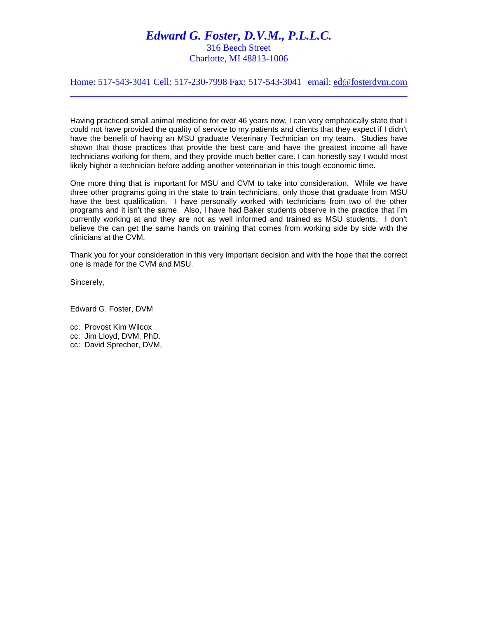# *Edward G. Foster, D.V.M., P.L.L.C.*

316 Beech Street Charlotte, MI 48813-1006

Home: 517-543-3041 Cell: 517-230-7998 Fax: 517-543-3041 email: [ed@fosterdvm.com](mailto:egfoster@cablespeed.com)  $\_$  , and the set of the set of the set of the set of the set of the set of the set of the set of the set of the set of the set of the set of the set of the set of the set of the set of the set of the set of the set of th

Having practiced small animal medicine for over 46 years now, I can very emphatically state that I could not have provided the quality of service to my patients and clients that they expect if I didn't have the benefit of having an MSU graduate Veterinary Technician on my team. Studies have shown that those practices that provide the best care and have the greatest income all have technicians working for them, and they provide much better care. I can honestly say I would most likely higher a technician before adding another veterinarian in this tough economic time.

One more thing that is important for MSU and CVM to take into consideration. While we have three other programs going in the state to train technicians, only those that graduate from MSU have the best qualification. I have personally worked with technicians from two of the other programs and it isn't the same. Also, I have had Baker students observe in the practice that I'm currently working at and they are not as well informed and trained as MSU students. I don't believe the can get the same hands on training that comes from working side by side with the clinicians at the CVM.

Thank you for your consideration in this very important decision and with the hope that the correct one is made for the CVM and MSU.

Sincerely,

Edward G. Foster, DVM

cc: Provost Kim Wilcox cc: Jim Lloyd, DVM, PhD. cc: David Sprecher, DVM,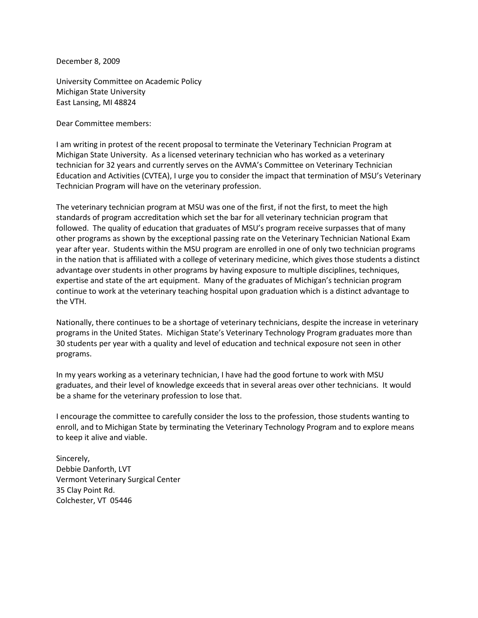December 8, 2009

University Committee on Academic Policy Michigan State University East Lansing, MI 48824

Dear Committee members:

I am writing in protest of the recent proposal to terminate the Veterinary Technician Program at Michigan State University. As a licensed veterinary technician who has worked as a veterinary technician for 32 years and currently serves on the AVMA's Committee on Veterinary Technician Education and Activities (CVTEA), I urge you to consider the impact that termination of MSU's Veterinary Technician Program will have on the veterinary profession.

The veterinary technician program at MSU was one of the first, if not the first, to meet the high standards of program accreditation which set the bar for all veterinary technician program that followed. The quality of education that graduates of MSU's program receive surpasses that of many other programs as shown by the exceptional passing rate on the Veterinary Technician National Exam year after year. Students within the MSU program are enrolled in one of only two technician programs in the nation that is affiliated with a college of veterinary medicine, which gives those students a distinct advantage over students in other programs by having exposure to multiple disciplines, techniques, expertise and state of the art equipment. Many of the graduates of Michigan's technician program continue to work at the veterinary teaching hospital upon graduation which is a distinct advantage to the VTH.

Nationally, there continues to be a shortage of veterinary technicians, despite the increase in veterinary programs in the United States. Michigan State's Veterinary Technology Program graduates more than 30 students per year with a quality and level of education and technical exposure not seen in other programs.

In my years working as a veterinary technician, I have had the good fortune to work with MSU graduates, and their level of knowledge exceeds that in several areas over other technicians. It would be a shame for the veterinary profession to lose that.

I encourage the committee to carefully consider the loss to the profession, those students wanting to enroll, and to Michigan State by terminating the Veterinary Technology Program and to explore means to keep it alive and viable.

Sincerely, Debbie Danforth, LVT Vermont Veterinary Surgical Center 35 Clay Point Rd. Colchester, VT 05446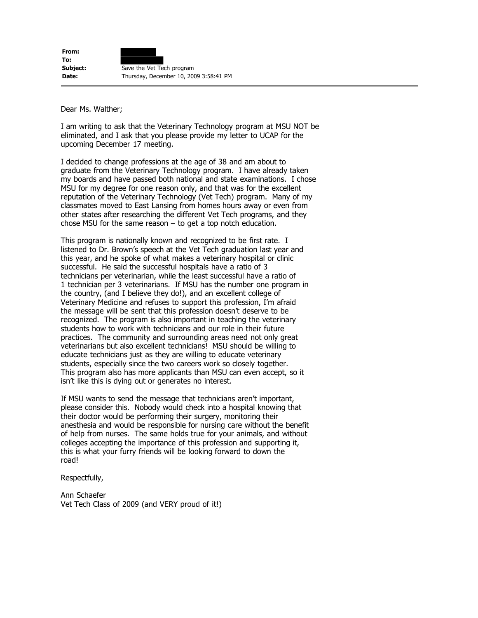Dear Ms. Walther;

I am writing to ask that the Veterinary Technology program at MSU NOT be eliminated, and I ask that you please provide my letter to UCAP for the upcoming December 17 meeting.

I decided to change professions at the age of 38 and am about to graduate from the Veterinary Technology program. I have already taken my boards and have passed both national and state examinations. I chose MSU for my degree for one reason only, and that was for the excellent reputation of the Veterinary Technology (Vet Tech) program. Many of my classmates moved to East Lansing from homes hours away or even from other states after researching the different Vet Tech programs, and they chose MSU for the same reason  $-$  to get a top notch education.

This program is nationally known and recognized to be first rate. I listened to Dr. Brown's speech at the Vet Tech graduation last year and this year, and he spoke of what makes a veterinary hospital or clinic successful. He said the successful hospitals have a ratio of 3 technicians per veterinarian, while the least successful have a ratio of 1 technician per 3 veterinarians. If MSU has the number one program in the country, (and I believe they do!), and an excellent college of Veterinary Medicine and refuses to support this profession, I'm afraid the message will be sent that this profession doesn't deserve to be recognized. The program is also important in teaching the veterinary students how to work with technicians and our role in their future practices. The community and surrounding areas need not only great veterinarians but also excellent technicians! MSU should be willing to educate technicians just as they are willing to educate veterinary students, especially since the two careers work so closely together. This program also has more applicants than MSU can even accept, so it isn't like this is dying out or generates no interest.

If MSU wants to send the message that technicians aren't important, please consider this. Nobody would check into a hospital knowing that their doctor would be performing their surgery, monitoring their anesthesia and would be responsible for nursing care without the benefit of help from nurses. The same holds true for your animals, and without colleges accepting the importance of this profession and supporting it, this is what your furry friends will be looking forward to down the road!

Respectfully,

Ann Schaefer Vet Tech Class of 2009 (and VERY proud of it!)